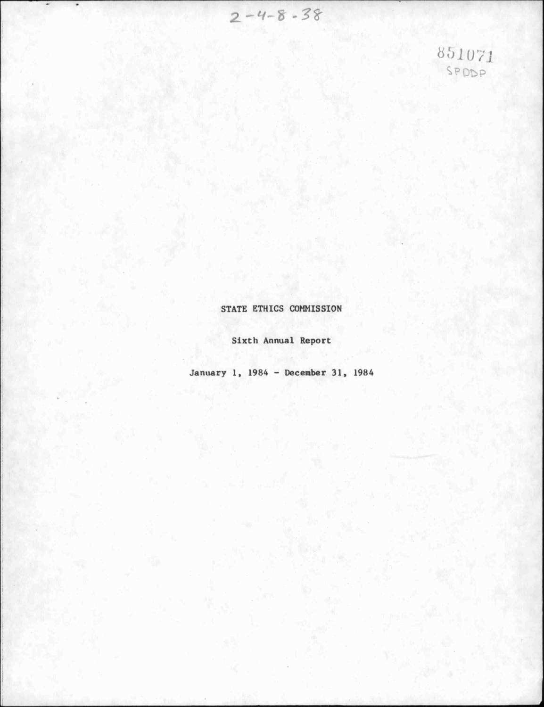$2 - 4 - 8 - 38$ 

851071

STATE ETHICS COMMISSION

Sixth Annual Report

January 1, 1984 - December 31, 1984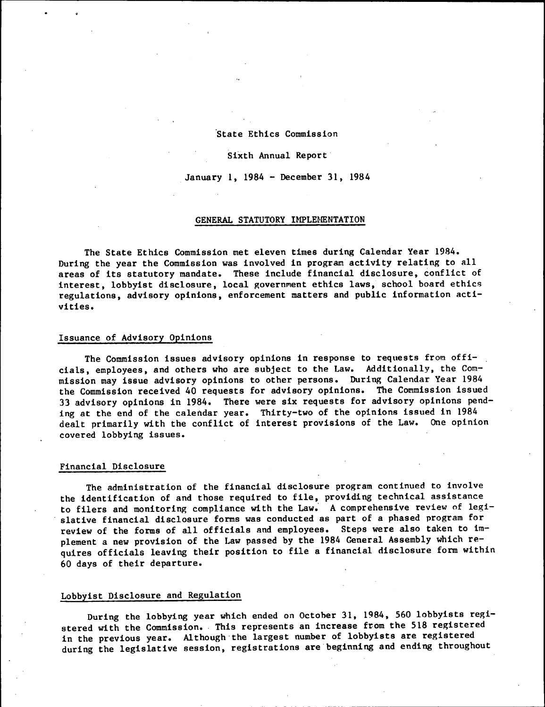#### State Ethics Commission

#### Sixth Annual Report

January 1, 1984 - December 31, 1984

#### GENERAL STATUTORY IMPLEMENTATION

The State Ethics Commission met eleven times during Calendar Year 1984. During the year the Commission was involved in program activity relating to all areas of its statutory mandate. These include financial disclosure, conflict of interest, lobbyist disclosure, local government ethics laws, school board ethics regulations, advisory opinions, enforcement matters and public information activities.

## Issuance of Advisory Opinions

The Commission issues advisory opinions in response to requests *from* officials, employees, and others who are subject to the Law. Additionally, the Commission may issue advisory opinions to other persons. During Calendar Year 1984 the Commission received 40 requests for advisory opinions. The Commission issued 33 advisory opinions in 1984. There were six requests for advisory opinions pending at the end of the calendar year. Thirty-two of the opinions issued in 1984 dealt primarily with the conflict of interest provisions of the Law. One opinion covered lobbying issues.

#### Financial Disclosure

The administration of the financial disclosure program continued to involve the identification of and those required to file, providing technical assistance to filers and monitoring compliance with the Law. A comprehensive review of legislative financial disclosure forms was conducted as part of a phased program for review of the forms of all officials and employees. Steps were also taken to implement a new provision of the Law passed by the 1984 General Assembly which requires officials leaving their position to file a financial disclosure form within 60 days of their departure.

# Lobbyist Disclosure and Regulation

During the lobbying year which ended on October 31, 1984, 560 lobbyists registered with the Commission. This represents an increase from the 518 registered in the previous year. Although the largest number of lobbyists are registered during the legislative session, registrations are beginning and ending throughout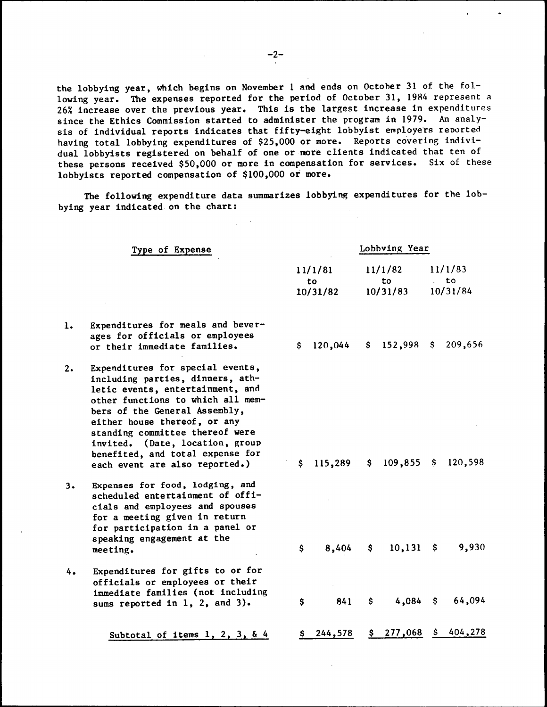the lobbying year, which begins on November 1 and ends on October 31 of the following year. The expenses reported for the period of October 31, 1984 represent a 26% increase over the previous year. This is the largest increase in expenditures since the Ethics Commission started to administer the program in 1979. An analysis of individual reports indicates that fifty-eight lobbyist employers reported having total lobbying expenditures of \$25,000 or more. Reports covering individual lobbyists registered on behalf of one or more clients indicated that ten of these persons received \$50,000 or more in compensation for services. Six of these lobbyists reported compensation of \$100,000 or more.

The following expenditure data summarizes lobbying expenditures for the lobbying year indicated on the chart:

|    | Type of Expense                                                                                                                                                                                                                                                                                                                                            |                           | Lobbving Year |                            |                       |                           |         |  |  |
|----|------------------------------------------------------------------------------------------------------------------------------------------------------------------------------------------------------------------------------------------------------------------------------------------------------------------------------------------------------------|---------------------------|---------------|----------------------------|-----------------------|---------------------------|---------|--|--|
|    |                                                                                                                                                                                                                                                                                                                                                            | 11/1/81<br>to<br>10/31/82 |               | 11/1/82<br>to.<br>10/31/83 |                       | 11/1/83<br>to<br>10/31/84 |         |  |  |
| ı. | Expenditures for meals and bever-<br>ages for officials or employees<br>or their immediate families.                                                                                                                                                                                                                                                       | S                         | 120,044       |                            | $$152,998$ \$         |                           | 209,656 |  |  |
| 2. | Expenditures for special events,<br>including parties, dinners, ath-<br>letic events, entertainment, and<br>other functions to which all mem-<br>bers of the General Assembly,<br>either house thereof, or any<br>standing committee thereof were<br>invited. (Date, location, group<br>benefited, and total expense for<br>each event are also reported.) | $\mathsf{s}$              | 115,289       |                            | $$109,855$ $$120,598$ |                           |         |  |  |
| 3. | Expenses for food, lodging, and<br>scheduled entertainment of offi-<br>cials and employees and spouses<br>for a meeting given in return<br>for participation in a panel or<br>speaking engagement at the<br>meeting.                                                                                                                                       | \$                        | 8,404         |                            | $$10,131$ \$          |                           | 9,930   |  |  |
| 4. | Expenditures for gifts to or for<br>officials or employees or their<br>immediate families (not including<br>sums reported in 1, 2, and 3).                                                                                                                                                                                                                 | \$                        | 841           | $\mathsf{S}$               | 4,084                 | $\mathsf{S}$              | 64,094  |  |  |
|    | Subtotal of items $1, 2, 3, 64$                                                                                                                                                                                                                                                                                                                            | Ş.                        | 244,578       |                            | \$277,068             | S.                        | 404,278 |  |  |

 $-2-$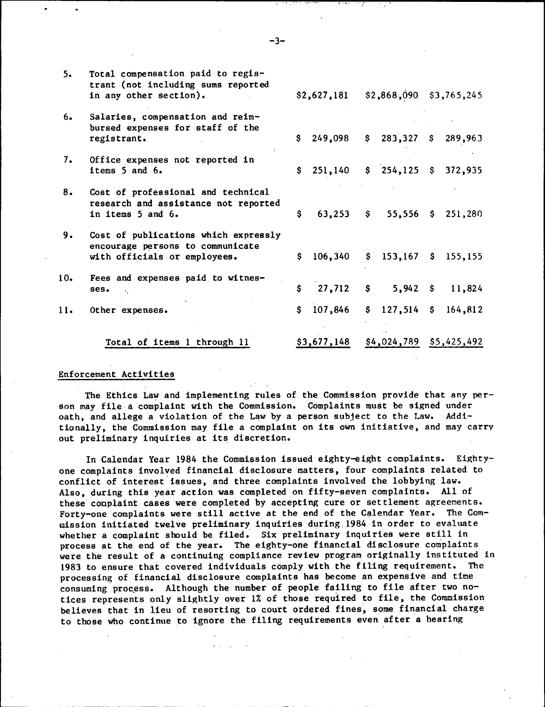| 5.  | Total compensation paid to regis-<br>trant (not including sums reported<br>in any other section).        |              |                                    |    | \$2,627,181 \$2,868,090 \$3,765,245               |  |         |  |
|-----|----------------------------------------------------------------------------------------------------------|--------------|------------------------------------|----|---------------------------------------------------|--|---------|--|
| 6.  | Salaries, compensation and reim-<br>bursed expenses for staff of the<br>registrant.                      |              | $$249,098$$ $$283,327$$ $$289,963$ |    |                                                   |  |         |  |
| 7.  | Office expenses not reported in<br>items 5 and 6.                                                        | $\mathsf{s}$ |                                    |    | 251,140 \$ 254,125 \$ 372,935                     |  |         |  |
| 8.  | Cost of professional and technical<br>research and assistance not reported<br>in items 5 and 6.          | \$           |                                    |    | 63,253 $\frac{1}{2}$ 55,556 $\frac{1}{2}$ 251,280 |  |         |  |
| 9.  | Cost of publications which expressly<br>encourage persons to communicate<br>with officials or employees. | \$.          | 106,340                            | \$ | $153,167$ \$ 155,155                              |  |         |  |
| 10. | Fees and expenses paid to witnes-<br>ses.                                                                | \$.          | 27,712                             |    | $S$ and $S$<br>$5,942$ \$                         |  | 11,824  |  |
| 11. | Other expenses.                                                                                          | \$           | 107,846                            |    | $$127,514$ \$                                     |  | 164,812 |  |
|     | Total of items 1 through 11                                                                              |              | \$3,677,148                        |    | $$4,024,789$ $$5,425,492$                         |  |         |  |

# enforcement Activities of the Constitution and Activities of the Constitution and Activities of the Constitution Activities of the Constitution Activities of the Constitution Activities of the Constitution Activities of th

The Ethics Law and implementing rules of the Commission provide that any person may file a complaint with the Commission. Complaints must be signed under oath, and allege a violation of the Law by a person subject to the Law. Additionally, the Commission may file a complaint on its own initiative, and may carry out preliminary inquiries at its discretion.

In Calendar Year 1984 the Commission issued eighty-eight complaints. Eightyone complaints involved financial disclosure matters, four complaints related to conflict of interest issues, and three complaints involved the lobbying law. Also, during this year action was completed on fifty-seven complaints. All of these complaint cases were completed by accepting cure or settlement agreements. Forty-one complaints were still active at the end of the Calendar Year. The Commission Initiated twelve preliminary inquiries during.1984 in order to evaluate whether a complaint should be filed. Six preliminary inquiries were still in process at the end of the year. The eighty-one financial disclosure complaints were the result of a continuing compliance review program originally instituted in 1983 to ensure that covered individuals comply with the filing requirement. The processing of financial disclosure complaints has become an expensive and time consuming process. Although the number of people failing to file after two notices represents only slightly over 1% of those required to file, the Commission believes that in lieu of resorting to court ordered fines, some financial charge to those who continue to ignore the filing requirements even after a hearing

- 3-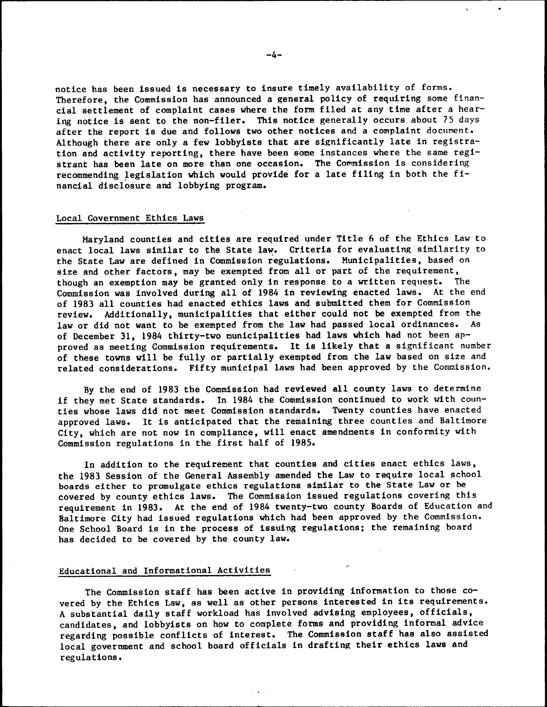notice has been issued is necessary to insure timely availability of forms. Therefore, the Commission has announced a general policy of requiring some financial settlement of complaint cases where the form filed at any time after a hearing notice is sent to the non-filer. This notice generally occurs about 75 days after the report is due and follows two other notices and a complaint document. Although there are only a few lobbyists that are significantly late in registration and activity reporting, there have been some instances where the same registrant has been late on more than one occasion. The Commission is considering recommending legislation which would provide for a late filing in both the financial disclosure and lobbying program.

### Local Government Ethics Laws

Maryland counties and cities are required under Title 6 of the Ethics Law to enact local laws similar to the State law. Criteria for evaluating similarity to the State Law are defined in Commission regulations. Municipalities, based on size and other factors, may be exempted from all or part of the requirement, though an exemption may be granted only in response to a written request. The Commission was involved during all of 1984 in reviewing enacted laws. At the end of 1983 all counties had enacted ethics laws and submitted them for Commission review. Additionally, municipalities that either could not be exempted from the law or did not want to be exempted from the law had passed local ordinances. As of December 31, 1984 thirty-two municipalities had laws which had not been approved as meeting Commission requirements. It is likely that a significant number of these towns will be fully or partially exempted from the law based on size and related considerations. Fifty municipal laws had been approved by the Commission.

By the end of 1983 the Commission had reviewed all county laws to determine if they met State standards. In 1984 the Commission continued to work with counties whose laws did not meet Commission standards. Twenty counties have enacted approved laws. It is anticipated that the remaining three counties and Baltimore City, which are not now in compliance, will enact amendments in conformity with Commission regulations in the first half of 1985.

In addition to the requirement that counties and cities enact ethics laws, the 1983 Session of the General Assembly amended the Law to require local school boards either to promulgate ethics regulations similar to the State Law or be covered by county ethics laws. The Commission issued regulations covering this requirement in 1983. At the end of 1984 twenty-two county Boards of Education and Baltimore City had issued regulations which had been approved by the Commission. One School Board is in the process of issuing regulations; the remaining board has decided to be covered by the county law.

#### Educational and Informational Activities

The Commission staff has been active in providing information to those covered by the Ethics Law, as well as other persons interested in its requirements. A substantial daily staff workload has involved advising employees, officials, candidates, and lobbyists on how to complete forms and providing informal advice regarding possible conflicts of interest. The Commission staff has also assisted local government and school board officials in drafting their ethics laws and regulations.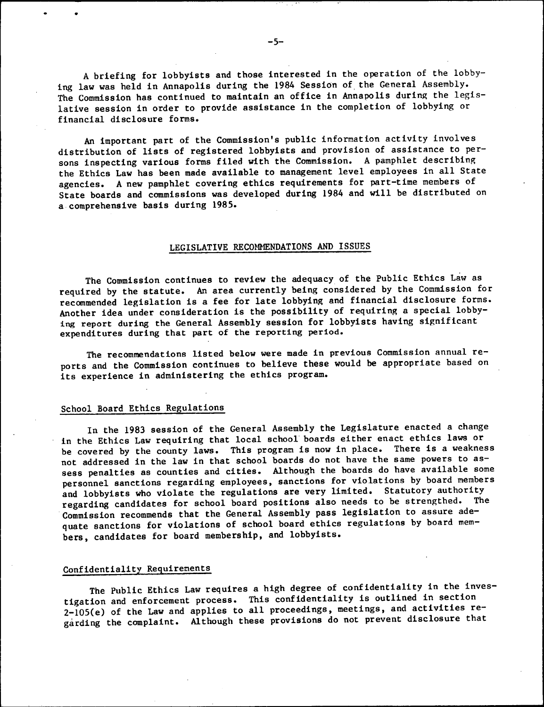A briefing for lobbyists and those interested in the operation of the lobbying law was held in Annapolis during the 1984 Session of the General Assembly. The Commission has continued to maintain an office in Annapolis during the legislative session in order to provide assistance in the completion of lobbying or financial disclosure forms.

An important part of the Commission's public information activity involves distribution of lists of registered lobbyists and provision of assistance to persons inspecting various forms filed with the Commission. A pamphlet describing the Ethics Law has been made available to management level employees in all State agencies. A new pamphlet covering ethics requirements for part-time members of State board**8** and commissions was developed during 1984 and will be distributed on a comprehensive basis during 1985.

### LEGISLATIVE RECOMMENDATIONS AND ISSUES

The Commission continues to review the adequacy of the Public Ethics Law as required by the statute. An area currently being considered by the Commission for recommended legislation is a fee for late lobbying and financial disclosure forms. Another idea under consideration is the possibility of requiring a special lobbying report during the General Assembly session for lobbyists having significant expenditures during that part of the reporting period.

The recommendations listed below were made in previous Commission annual reports and the Commission continues to believe these would be appropriate based on its experience in administering the ethics program.

# School Board Ethics Regulations

In the 1983 session of the General Assembly the Legislature enacted a change in the Ethics Law requiring that local school boards either enact ethics laws or be covered by the county laws. This program is now in place. There is a weakness not addressed in the law in that school boards do not have the same powers to assess penalties as counties and cities. Although the boards do have available some personnel sanctions regarding employees, sanctions for violations by board members and lobbyists who violate the regulations are very limited. Statutory authority regarding candidates for school board positions also needs to be strengthed. The Commission recommends that the General Assembly pass legislation to assure adequate sanctions for violations of school board ethics regulations by board members, candidates for board membership, and lobbyists.

#### Confidentiality Requirements

The Public Ethics Law requires a high degree of confidentiality in the investigation and enforcement process. This confidentiality is outlined in section 2-105(e) of the Law and applies to all proceedings, meetings, and activities regarding the complaint. Although these provisions do not prevent disclosure that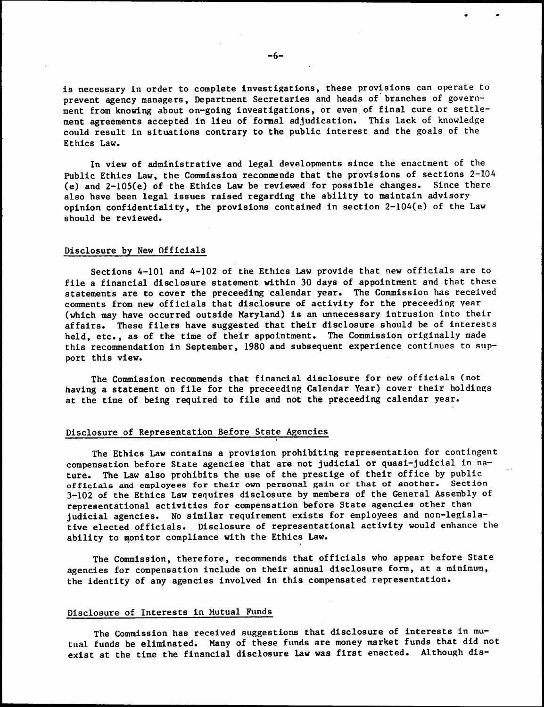is necessary in order to complete investigations, these provisions can operate to prevent agency managers, Department Secretaries and heads of branches of government from knowing about on-going investigations, or even of final cure or settlement agreements accepted in lieu of formal adjudication. This lack of knowledge could result in situations contrary to the public interest and the goals of the Ethics Law.

In view of administrative and legal developments since the enactment of the Public Ethics Law, the Commission recommends that the provisions of sections 2-104 (e) and 2-105(e) of the Ethics Law be reviewed for possible changes. Since there also have been legal issues raised regarding the ability to maintain advisory opinion confidentiality, the provisions contained in section 2-104(e) of the Law should be reviewed.

## Disclosure by New Officials

Sections 4-101 and 4-102 of the Ethics Law provide that new officials are to file a financial disclosure statement within 30 days of appointment and that these statements are to cover the preceeding calendar year. The Commission has received comments from new officials that disclosure of activity for the preceeding year (which may have occurred outside Maryland) is an unnecessary intrusion into their affairs. These filers have suggested that their disclosure should be of interests held, etc., as of the time of their appointment. The Commission originally made this recommendation in September, 1980 and subsequent experience continues to support this view.

The Commission recommends that financial disclosure for new officials (not having a statement on file for the preceeding Calendar Year) cover their holdings at the time of being required to file and not the preceeding calendar year.

## Disclosure of Representation Before State Agencies

The Ethics Law contains a provision prohibiting representation for contingent compensation before State agencies that are not judicial or quasi-judicial in **na**ture. The Law also prohibits the use of the prestige of their office by public **officials and** employees **for their own** personal gain **or** that of another. Section 3-102 of the Ethics Law requires disclosure by members of the General Assembly of representational activities for compensation before State agencies other than judicial agencies. No similar requirement exists for employees and non-legislative elected officials. Disclosure of representational activity would enhance **the**  ability to monitor compliance with the Ethics Law.

The Commission, therefore, recommends that officials who appear before State agencies for compensation include on their annual disclosure form, at **a** minimum, the identity of any agencies involved in this compensated representation.

# Disclosure of Interests in Mutual Funds

The Commission has received suggestions that disclosure of interests in mutual funds be eliminated. Many of these funds are money market funds that did not exist at the time the financial disclosure law was first enacted. Although dis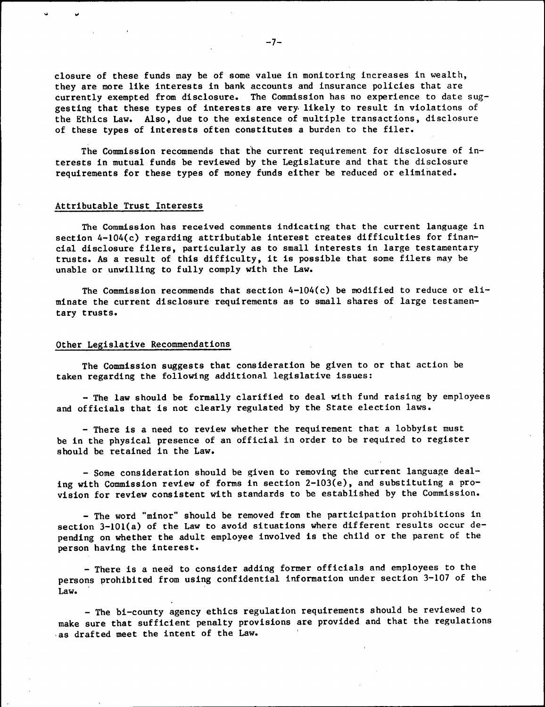closure of these funds may be of some value in monitoring increases in wealth, they are more like interests in bank accounts and insurance policies that are currently exempted from disclosure. The Commission has no experience to date suggesting that these types of interests are very likely to result in violations of the Ethics Law. Also, due to the existence of multiple transactions, disclosure of these types of interests often constitutes a burden to the filer.

The Commission recommends that the current requirement for disclosure of interests in mutual funds be reviewed by the Legislature and that the disclosure requirements for these types of money funds either be reduced or eliminated.

## Attributable Trust Interests

The Commission has received comments indicating that the current language in section 4-104(c) regarding attributable interest creates difficulties for financial disclosure filers, particularly as to small interests in large testamentary trusts. As a result of this difficulty, it is possible that some filers may be unable or unwilling to fully comply with the Law.

The Commission recommends that section  $4-104(c)$  be modified to reduce or eliminate the current disclosure requirements as to small shares of large testamentary trusts.

#### Other Legislative Recommendations

The Commission suggests that consideration be given to or that action be taken regarding the following additional legislative issues:

- The law should be formally clarified to deal with fund raising by employees and officials that is not clearly regulated by the State election laws.

- There is a need to review whether the requirement that a lobbyist must be in the physical presence of an official in order to be required to register should be retained in the Law.

- Some consideration should be given to removing the current language dealing with Commission review of forms in section 2-103(e), and substituting a provision for review consistent with standards to be established by the Commission.

- The word "minor" should be removed from the participation prohibitions in section 3-101(a) of the Law to avoid situations where different results occur depending on whether the adult employee involved is the child or the parent of the person having the interest.

- There is a need to consider adding former officials and employees to the persons prohibited from using confidential information under section 3-107 of the Law.

- The bi-county agency ethics regulation requirements should be reviewed to make sure that sufficient penalty provisions are provided and that the regulations as drafted meet the intent of the Law.